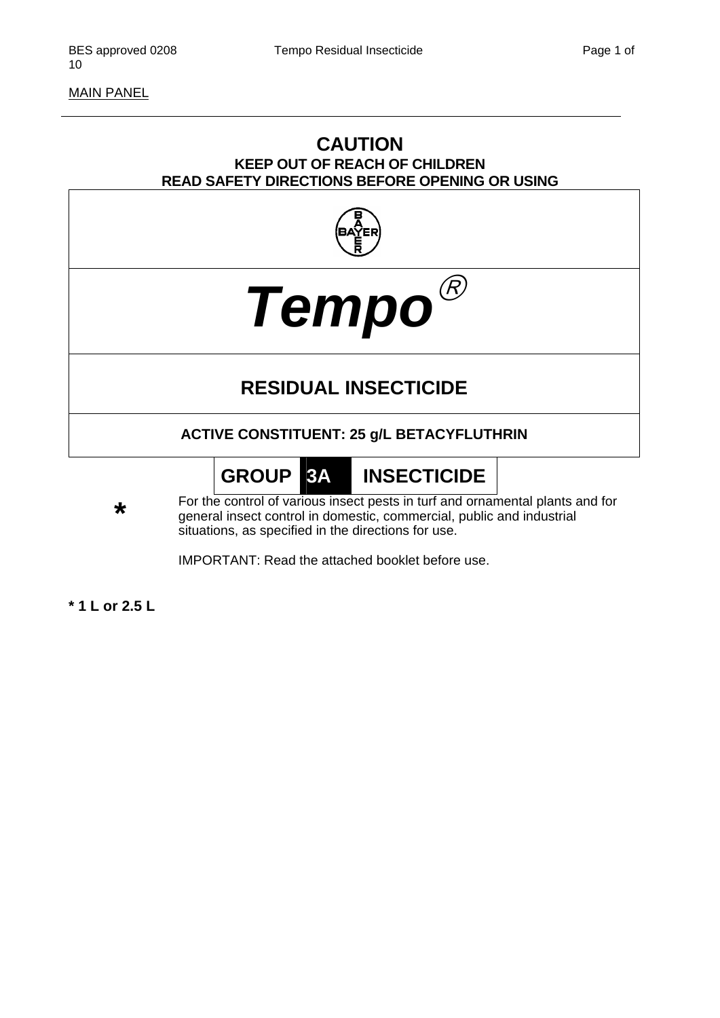MAIN PANEL

# **CAUTION KEEP OUT OF REACH OF CHILDREN READ SAFETY DIRECTIONS BEFORE OPENING OR USING**





# **RESIDUAL INSECTICIDE**

# **ACTIVE CONSTITUENT: 25 g/L BETACYFLUTHRIN**

# **GROUP 3A INSECTICIDE**

**\*** For the control of various insect pests in turf and ornamental plants and for general insect control in domestic, commercial, public and industrial principle is the direction for use. situations, as specified in the directions for use.

IMPORTANT: Read the attached booklet before use.

**\* 1 L or 2.5 L**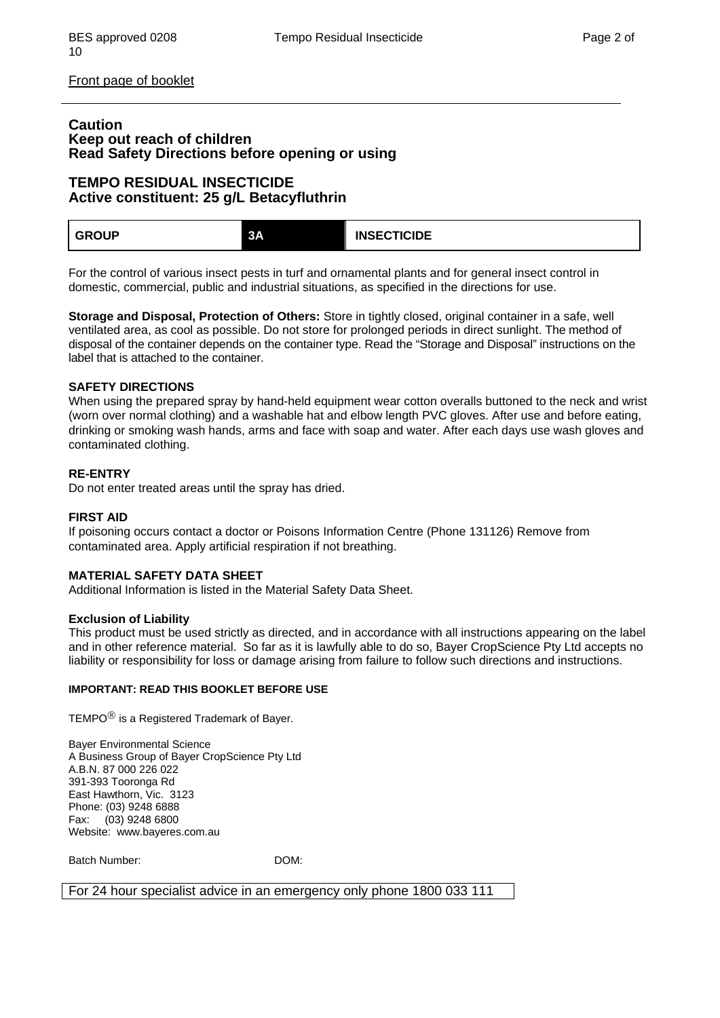Front page of booklet

#### **Caution Keep out reach of children Read Safety Directions before opening or using**

#### **TEMPO RESIDUAL INSECTICIDE Active constituent: 25 g/L Betacyfluthrin**

| <b>GROUP</b> | 3А | <b>INSECTICIDE</b> |  |
|--------------|----|--------------------|--|
|--------------|----|--------------------|--|

For the control of various insect pests in turf and ornamental plants and for general insect control in domestic, commercial, public and industrial situations, as specified in the directions for use.

**Storage and Disposal, Protection of Others:** Store in tightly closed, original container in a safe, well ventilated area, as cool as possible. Do not store for prolonged periods in direct sunlight. The method of disposal of the container depends on the container type. Read the "Storage and Disposal" instructions on the label that is attached to the container.

#### **SAFETY DIRECTIONS**

When using the prepared spray by hand-held equipment wear cotton overalls buttoned to the neck and wrist (worn over normal clothing) and a washable hat and elbow length PVC gloves. After use and before eating, drinking or smoking wash hands, arms and face with soap and water. After each days use wash gloves and contaminated clothing.

#### **RE-ENTRY**

Do not enter treated areas until the spray has dried.

#### **FIRST AID**

If poisoning occurs contact a doctor or Poisons Information Centre (Phone 131126) Remove from contaminated area. Apply artificial respiration if not breathing.

#### **MATERIAL SAFETY DATA SHEET**

Additional Information is listed in the Material Safety Data Sheet.

#### **Exclusion of Liability**

This product must be used strictly as directed, and in accordance with all instructions appearing on the label and in other reference material. So far as it is lawfully able to do so, Bayer CropScience Pty Ltd accepts no liability or responsibility for loss or damage arising from failure to follow such directions and instructions.

#### **IMPORTANT: READ THIS BOOKLET BEFORE USE**

TEMPO<sup>®</sup> is a Registered Trademark of Bayer.

Bayer Environmental Science A Business Group of Bayer CropScience Pty Ltd A.B.N. 87 000 226 022 391-393 Tooronga Rd East Hawthorn, Vic. 3123 Phone: (03) 9248 6888 Fax: (03) 9248 6800 Website: www.bayeres.com.au

Batch Number: DOM:

For 24 hour specialist advice in an emergency only phone 1800 033 111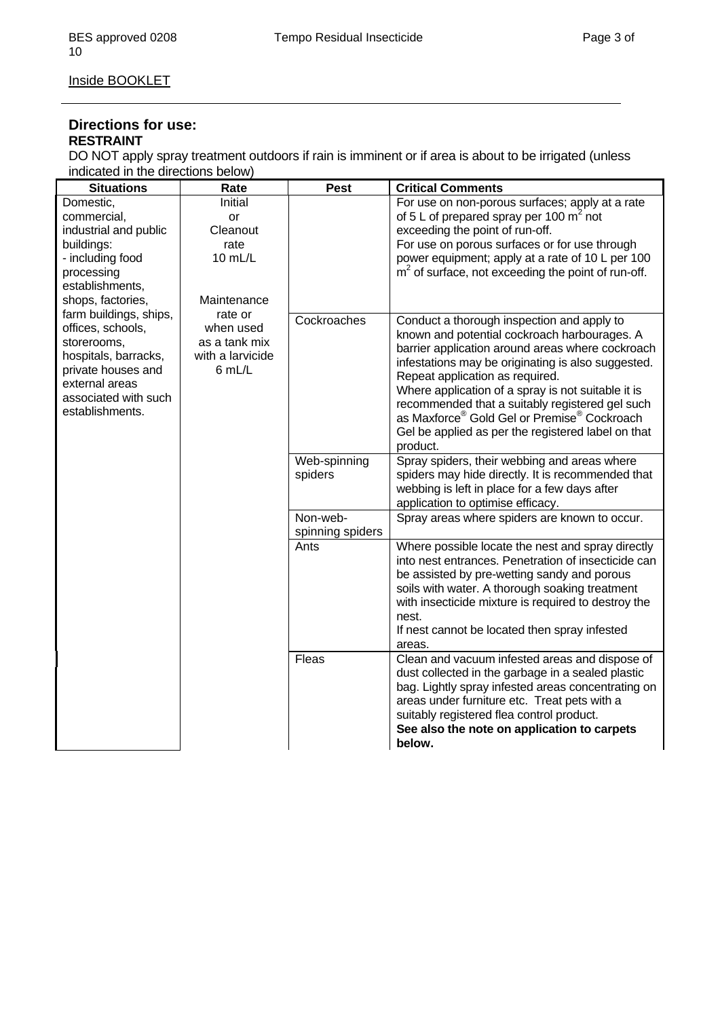Inside BOOKLET

#### **Directions for use: RESTRAINT**

DO NOT apply spray treatment outdoors if rain is imminent or if area is about to be irrigated (unless indicated in the directions below)

| <b>Situations</b>      | Rate             | <b>Pest</b>      | <b>Critical Comments</b>                                                                                |
|------------------------|------------------|------------------|---------------------------------------------------------------------------------------------------------|
| Domestic,              | Initial          |                  | For use on non-porous surfaces; apply at a rate                                                         |
| commercial,            | or               |                  | of 5 L of prepared spray per 100 $m2$ not                                                               |
| industrial and public  | Cleanout         |                  | exceeding the point of run-off.                                                                         |
| buildings:             | rate             |                  | For use on porous surfaces or for use through                                                           |
| - including food       | 10 mL/L          |                  | power equipment; apply at a rate of 10 L per 100                                                        |
| processing             |                  |                  | $m2$ of surface, not exceeding the point of run-off.                                                    |
| establishments,        |                  |                  |                                                                                                         |
| shops, factories,      | Maintenance      |                  |                                                                                                         |
| farm buildings, ships, | rate or          | Cockroaches      | Conduct a thorough inspection and apply to                                                              |
| offices, schools,      | when used        |                  | known and potential cockroach harbourages. A                                                            |
| storerooms,            | as a tank mix    |                  | barrier application around areas where cockroach                                                        |
| hospitals, barracks,   | with a larvicide |                  | infestations may be originating is also suggested.                                                      |
| private houses and     | 6 mL/L           |                  | Repeat application as required.                                                                         |
| external areas         |                  |                  | Where application of a spray is not suitable it is                                                      |
| associated with such   |                  |                  | recommended that a suitably registered gel such                                                         |
| establishments.        |                  |                  | as Maxforce <sup>®</sup> Gold Gel or Premise <sup>®</sup> Cockroach                                     |
|                        |                  |                  | Gel be applied as per the registered label on that                                                      |
|                        |                  |                  | product.                                                                                                |
|                        |                  | Web-spinning     | Spray spiders, their webbing and areas where                                                            |
|                        |                  | spiders          | spiders may hide directly. It is recommended that                                                       |
|                        |                  |                  | webbing is left in place for a few days after                                                           |
|                        |                  |                  | application to optimise efficacy.                                                                       |
|                        |                  | Non-web-         | Spray areas where spiders are known to occur.                                                           |
|                        |                  | spinning spiders |                                                                                                         |
|                        |                  | Ants             | Where possible locate the nest and spray directly                                                       |
|                        |                  |                  | into nest entrances. Penetration of insecticide can                                                     |
|                        |                  |                  | be assisted by pre-wetting sandy and porous                                                             |
|                        |                  |                  | soils with water. A thorough soaking treatment                                                          |
|                        |                  |                  | with insecticide mixture is required to destroy the                                                     |
|                        |                  |                  | nest.                                                                                                   |
|                        |                  |                  | If nest cannot be located then spray infested                                                           |
|                        |                  | Fleas            | areas.                                                                                                  |
|                        |                  |                  | Clean and vacuum infested areas and dispose of                                                          |
|                        |                  |                  | dust collected in the garbage in a sealed plastic<br>bag. Lightly spray infested areas concentrating on |
|                        |                  |                  | areas under furniture etc. Treat pets with a                                                            |
|                        |                  |                  | suitably registered flea control product.                                                               |
|                        |                  |                  | See also the note on application to carpets                                                             |
|                        |                  |                  | below.                                                                                                  |
|                        |                  |                  |                                                                                                         |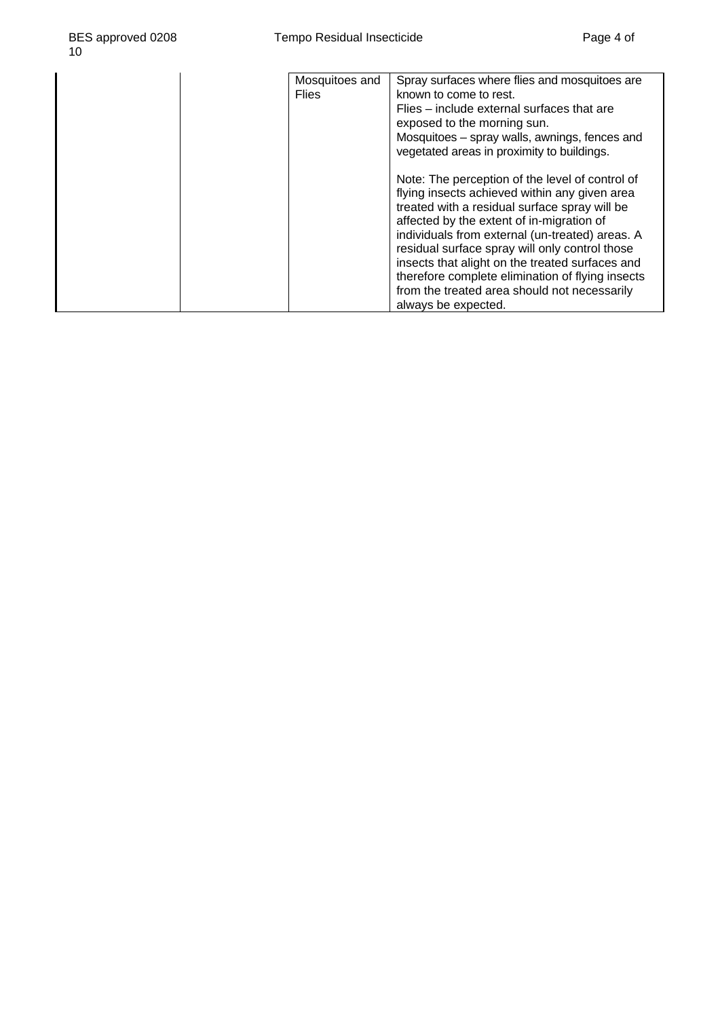| Mosquitoes and<br><b>Flies</b> | Spray surfaces where flies and mosquitoes are<br>known to come to rest.<br>Flies – include external surfaces that are<br>exposed to the morning sun.<br>Mosquitoes - spray walls, awnings, fences and                                                                                                                                                                                                                                                                                                                           |
|--------------------------------|---------------------------------------------------------------------------------------------------------------------------------------------------------------------------------------------------------------------------------------------------------------------------------------------------------------------------------------------------------------------------------------------------------------------------------------------------------------------------------------------------------------------------------|
|                                | vegetated areas in proximity to buildings.<br>Note: The perception of the level of control of<br>flying insects achieved within any given area<br>treated with a residual surface spray will be<br>affected by the extent of in-migration of<br>individuals from external (un-treated) areas. A<br>residual surface spray will only control those<br>insects that alight on the treated surfaces and<br>therefore complete elimination of flying insects<br>from the treated area should not necessarily<br>always be expected. |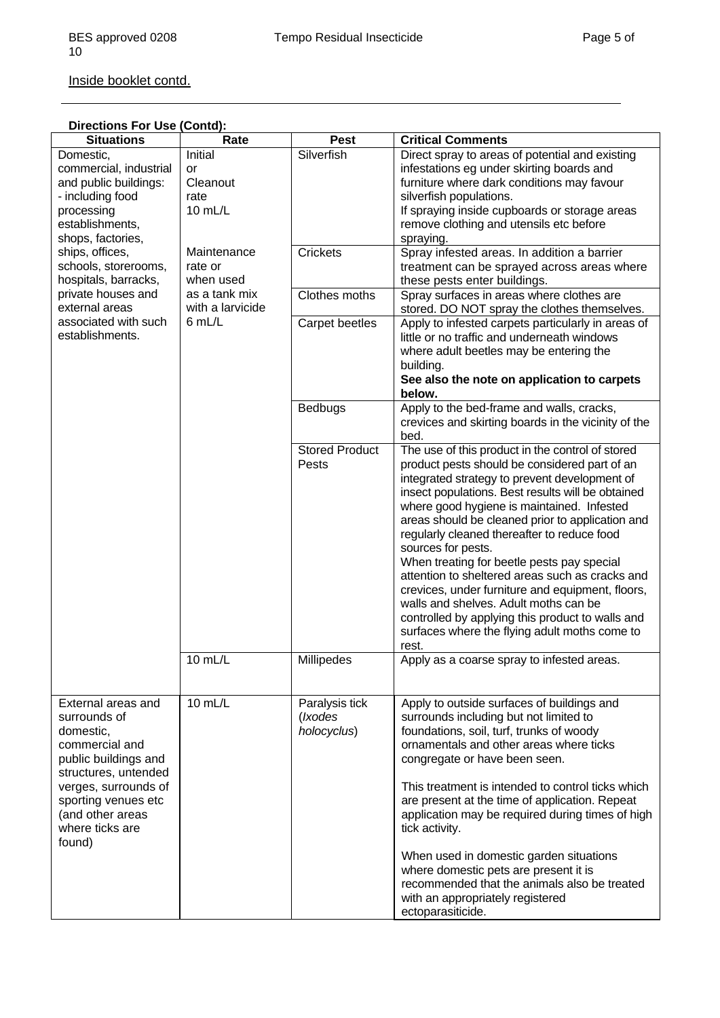| Inside booklet contd. |  |
|-----------------------|--|
|                       |  |

| Directions For Use (Contd): |  |
|-----------------------------|--|
|-----------------------------|--|

| <b>Situations</b>                                                                                                                                                                                                 | Rate                                                                               | <b>Pest</b>                              | <b>Critical Comments</b>                                                                                                                                                                                                                                                                                                                                                                                                                                                                                                                                                                                                                                                                   |
|-------------------------------------------------------------------------------------------------------------------------------------------------------------------------------------------------------------------|------------------------------------------------------------------------------------|------------------------------------------|--------------------------------------------------------------------------------------------------------------------------------------------------------------------------------------------------------------------------------------------------------------------------------------------------------------------------------------------------------------------------------------------------------------------------------------------------------------------------------------------------------------------------------------------------------------------------------------------------------------------------------------------------------------------------------------------|
| Domestic,<br>commercial, industrial<br>and public buildings:<br>- including food<br>processing<br>establishments,<br>shops, factories,                                                                            | Initial<br>or<br>Cleanout<br>rate<br>10 mL/L                                       | Silverfish                               | Direct spray to areas of potential and existing<br>infestations eg under skirting boards and<br>furniture where dark conditions may favour<br>silverfish populations.<br>If spraying inside cupboards or storage areas<br>remove clothing and utensils etc before<br>spraying.                                                                                                                                                                                                                                                                                                                                                                                                             |
| ships, offices,<br>schools, storerooms,<br>hospitals, barracks,                                                                                                                                                   | Maintenance<br>rate or<br>when used<br>as a tank mix<br>with a larvicide<br>6 mL/L | <b>Crickets</b>                          | Spray infested areas. In addition a barrier<br>treatment can be sprayed across areas where<br>these pests enter buildings.                                                                                                                                                                                                                                                                                                                                                                                                                                                                                                                                                                 |
| private houses and<br>external areas                                                                                                                                                                              |                                                                                    | Clothes moths                            | Spray surfaces in areas where clothes are<br>stored. DO NOT spray the clothes themselves.                                                                                                                                                                                                                                                                                                                                                                                                                                                                                                                                                                                                  |
| associated with such<br>establishments.                                                                                                                                                                           |                                                                                    | Carpet beetles                           | Apply to infested carpets particularly in areas of<br>little or no traffic and underneath windows<br>where adult beetles may be entering the<br>building.<br>See also the note on application to carpets<br>below.                                                                                                                                                                                                                                                                                                                                                                                                                                                                         |
|                                                                                                                                                                                                                   |                                                                                    | <b>Bedbugs</b>                           | Apply to the bed-frame and walls, cracks,<br>crevices and skirting boards in the vicinity of the<br>bed.                                                                                                                                                                                                                                                                                                                                                                                                                                                                                                                                                                                   |
|                                                                                                                                                                                                                   |                                                                                    | <b>Stored Product</b><br>Pests           | The use of this product in the control of stored<br>product pests should be considered part of an<br>integrated strategy to prevent development of<br>insect populations. Best results will be obtained<br>where good hygiene is maintained. Infested<br>areas should be cleaned prior to application and<br>regularly cleaned thereafter to reduce food<br>sources for pests.<br>When treating for beetle pests pay special<br>attention to sheltered areas such as cracks and<br>crevices, under furniture and equipment, floors,<br>walls and shelves. Adult moths can be<br>controlled by applying this product to walls and<br>surfaces where the flying adult moths come to<br>rest. |
|                                                                                                                                                                                                                   | 10 mL/L                                                                            | Millipedes                               | Apply as a coarse spray to infested areas.                                                                                                                                                                                                                                                                                                                                                                                                                                                                                                                                                                                                                                                 |
| External areas and<br>surrounds of<br>domestic,<br>commercial and<br>public buildings and<br>structures, untended<br>verges, surrounds of<br>sporting venues etc<br>(and other areas<br>where ticks are<br>found) | 10 mL/L                                                                            | Paralysis tick<br>(Ixodes<br>holocyclus) | Apply to outside surfaces of buildings and<br>surrounds including but not limited to<br>foundations, soil, turf, trunks of woody<br>ornamentals and other areas where ticks<br>congregate or have been seen.<br>This treatment is intended to control ticks which<br>are present at the time of application. Repeat<br>application may be required during times of high<br>tick activity.<br>When used in domestic garden situations<br>where domestic pets are present it is<br>recommended that the animals also be treated<br>with an appropriately registered<br>ectoparasiticide.                                                                                                     |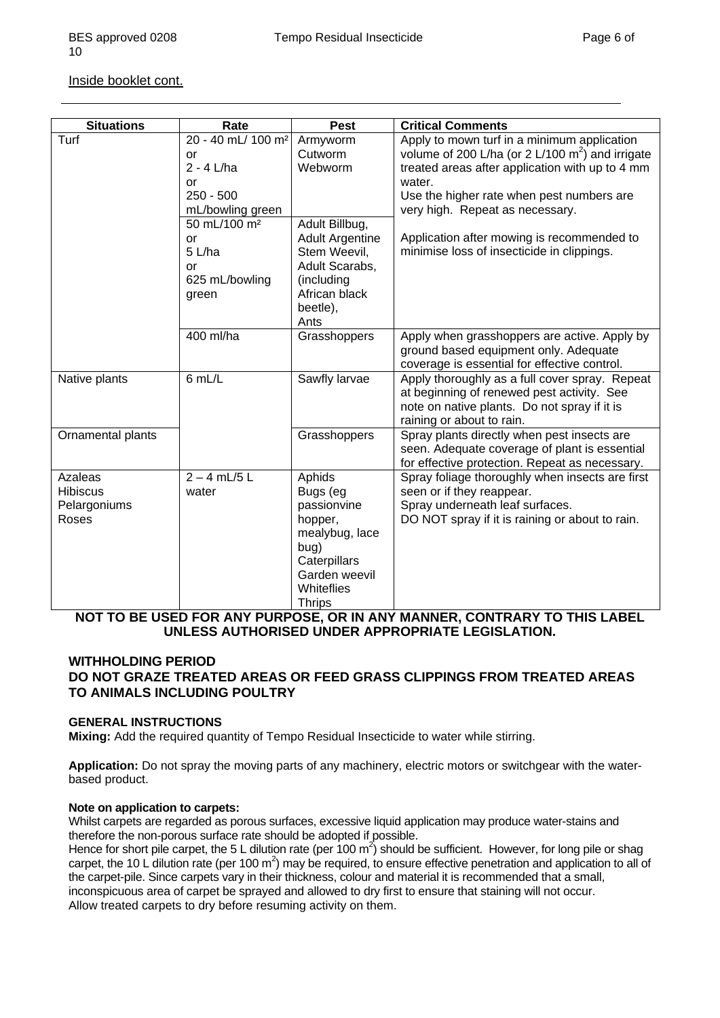#### Inside booklet cont.

| <b>Situations</b> | Rate                           | <b>Pest</b>                   | <b>Critical Comments</b>                           |
|-------------------|--------------------------------|-------------------------------|----------------------------------------------------|
| Turf              | 20 - 40 mL/ 100 m <sup>2</sup> | Armyworm                      | Apply to mown turf in a minimum application        |
|                   | <b>or</b>                      | Cutworm                       | volume of 200 L/ha (or 2 L/100 $m2$ ) and irrigate |
|                   | $2 - 4$ L/ha                   | Webworm                       | treated areas after application with up to 4 mm    |
|                   | or                             |                               | water.                                             |
|                   | $250 - 500$                    |                               | Use the higher rate when pest numbers are          |
|                   | mL/bowling green               |                               | very high. Repeat as necessary.                    |
|                   | 50 mL/100 m <sup>2</sup>       | Adult Billbug,                |                                                    |
|                   | or                             | <b>Adult Argentine</b>        | Application after mowing is recommended to         |
|                   | 5 L/ha                         | Stem Weevil,                  | minimise loss of insecticide in clippings.         |
|                   | or                             | Adult Scarabs,                |                                                    |
|                   | 625 mL/bowling                 | (including                    |                                                    |
|                   | green                          | African black                 |                                                    |
|                   |                                | beetle),                      |                                                    |
|                   |                                | Ants                          |                                                    |
|                   | 400 ml/ha                      | Grasshoppers                  | Apply when grasshoppers are active. Apply by       |
|                   |                                |                               | ground based equipment only. Adequate              |
|                   |                                |                               | coverage is essential for effective control.       |
| Native plants     | 6 mL/L                         | Sawfly larvae                 | Apply thoroughly as a full cover spray. Repeat     |
|                   |                                |                               | at beginning of renewed pest activity. See         |
|                   |                                |                               | note on native plants. Do not spray if it is       |
|                   |                                |                               | raining or about to rain.                          |
| Ornamental plants |                                | Grasshoppers                  | Spray plants directly when pest insects are        |
|                   |                                |                               | seen. Adequate coverage of plant is essential      |
|                   |                                |                               | for effective protection. Repeat as necessary.     |
| <b>Azaleas</b>    | $2 - 4$ mL/5 L                 | <b>Aphids</b>                 | Spray foliage thoroughly when insects are first    |
| <b>Hibiscus</b>   | water                          | Bugs (eg                      | seen or if they reappear.                          |
| Pelargoniums      |                                | passionvine                   | Spray underneath leaf surfaces.                    |
| Roses             |                                | hopper,                       | DO NOT spray if it is raining or about to rain.    |
|                   |                                | mealybug, lace                |                                                    |
|                   |                                | bug)                          |                                                    |
|                   |                                | Caterpillars<br>Garden weevil |                                                    |
|                   |                                |                               |                                                    |
|                   |                                |                               |                                                    |
|                   |                                | Whiteflies<br><b>Thrips</b>   |                                                    |

#### **NOT TO BE USED FOR ANY PURPOSE, OR IN ANY MANNER, CONTRARY TO THIS LABEL UNLESS AUTHORISED UNDER APPROPRIATE LEGISLATION.**

#### **WITHHOLDING PERIOD DO NOT GRAZE TREATED AREAS OR FEED GRASS CLIPPINGS FROM TREATED AREAS TO ANIMALS INCLUDING POULTRY**

#### **GENERAL INSTRUCTIONS**

**Mixing:** Add the required quantity of Tempo Residual Insecticide to water while stirring.

**Application:** Do not spray the moving parts of any machinery, electric motors or switchgear with the waterbased product.

#### **Note on application to carpets:**

Whilst carpets are regarded as porous surfaces, excessive liquid application may produce water-stains and therefore the non-porous surface rate should be adopted if possible.

Hence for short pile carpet, the 5 L dilution rate (per 100 m<sup>2</sup>) should be sufficient. However, for long pile or shag carpet, the 10 L dilution rate (per 100 m<sup>2</sup>) may be required, to ensure effective penetration and application to all of the carpet-pile. Since carpets vary in their thickness, colour and material it is recommended that a small, inconspicuous area of carpet be sprayed and allowed to dry first to ensure that staining will not occur. Allow treated carpets to dry before resuming activity on them.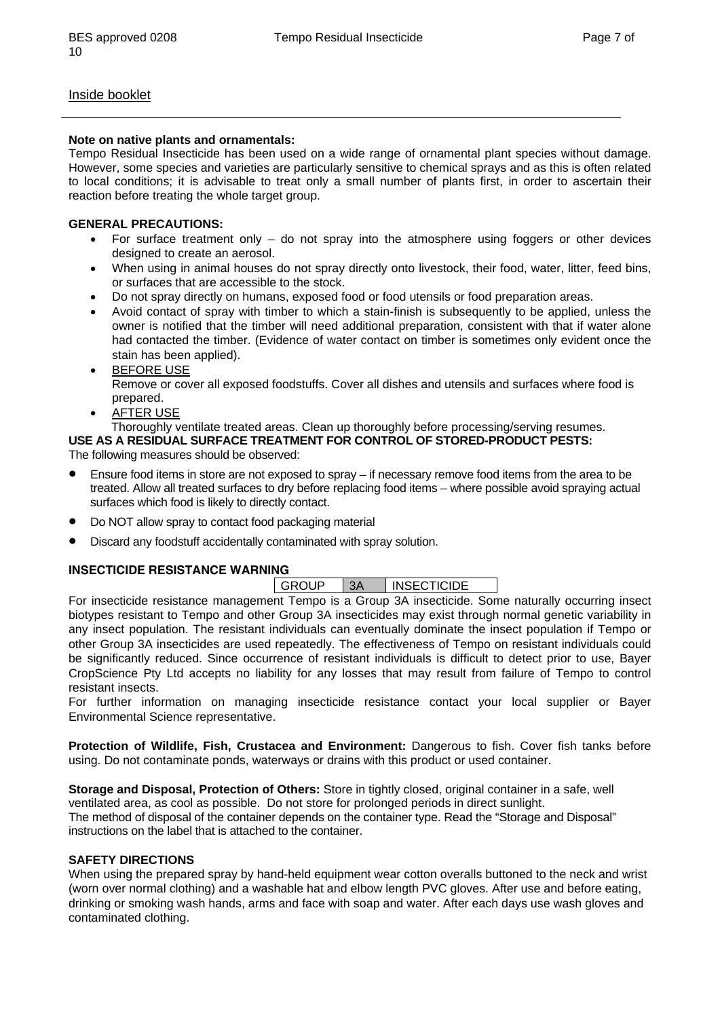#### Inside booklet

#### **Note on native plants and ornamentals:**

Tempo Residual Insecticide has been used on a wide range of ornamental plant species without damage. However, some species and varieties are particularly sensitive to chemical sprays and as this is often related to local conditions; it is advisable to treat only a small number of plants first, in order to ascertain their reaction before treating the whole target group.

#### **GENERAL PRECAUTIONS:**

- For surface treatment only  $-$  do not spray into the atmosphere using foggers or other devices designed to create an aerosol.
- When using in animal houses do not spray directly onto livestock, their food, water, litter, feed bins, or surfaces that are accessible to the stock.
- Do not spray directly on humans, exposed food or food utensils or food preparation areas.
- Avoid contact of spray with timber to which a stain-finish is subsequently to be applied, unless the owner is notified that the timber will need additional preparation, consistent with that if water alone had contacted the timber. (Evidence of water contact on timber is sometimes only evident once the stain has been applied).
- BEFORE USE Remove or cover all exposed foodstuffs. Cover all dishes and utensils and surfaces where food is prepared.
- **AFTER USE**

#### Thoroughly ventilate treated areas. Clean up thoroughly before processing/serving resumes.

**USE AS A RESIDUAL SURFACE TREATMENT FOR CONTROL OF STORED-PRODUCT PESTS:**  The following measures should be observed:

- Ensure food items in store are not exposed to spray if necessary remove food items from the area to be treated. Allow all treated surfaces to dry before replacing food items – where possible avoid spraying actual surfaces which food is likely to directly contact.
- Do NOT allow spray to contact food packaging material
- Discard any foodstuff accidentally contaminated with spray solution.

#### **INSECTICIDE RESISTANCE WARNING**

| GROUP | 3A | <b>INSECTICIDE</b> |
|-------|----|--------------------|
|       |    |                    |

For insecticide resistance management Tempo is a Group 3A insecticide. Some naturally occurring insect biotypes resistant to Tempo and other Group 3A insecticides may exist through normal genetic variability in any insect population. The resistant individuals can eventually dominate the insect population if Tempo or other Group 3A insecticides are used repeatedly. The effectiveness of Tempo on resistant individuals could be significantly reduced. Since occurrence of resistant individuals is difficult to detect prior to use, Bayer CropScience Pty Ltd accepts no liability for any losses that may result from failure of Tempo to control resistant insects.

For further information on managing insecticide resistance contact your local supplier or Bayer Environmental Science representative.

**Protection of Wildlife, Fish, Crustacea and Environment:** Dangerous to fish. Cover fish tanks before using. Do not contaminate ponds, waterways or drains with this product or used container.

**Storage and Disposal, Protection of Others:** Store in tightly closed, original container in a safe, well ventilated area, as cool as possible. Do not store for prolonged periods in direct sunlight. The method of disposal of the container depends on the container type. Read the "Storage and Disposal" instructions on the label that is attached to the container.

#### **SAFETY DIRECTIONS**

When using the prepared spray by hand-held equipment wear cotton overalls buttoned to the neck and wrist (worn over normal clothing) and a washable hat and elbow length PVC gloves. After use and before eating, drinking or smoking wash hands, arms and face with soap and water. After each days use wash gloves and contaminated clothing.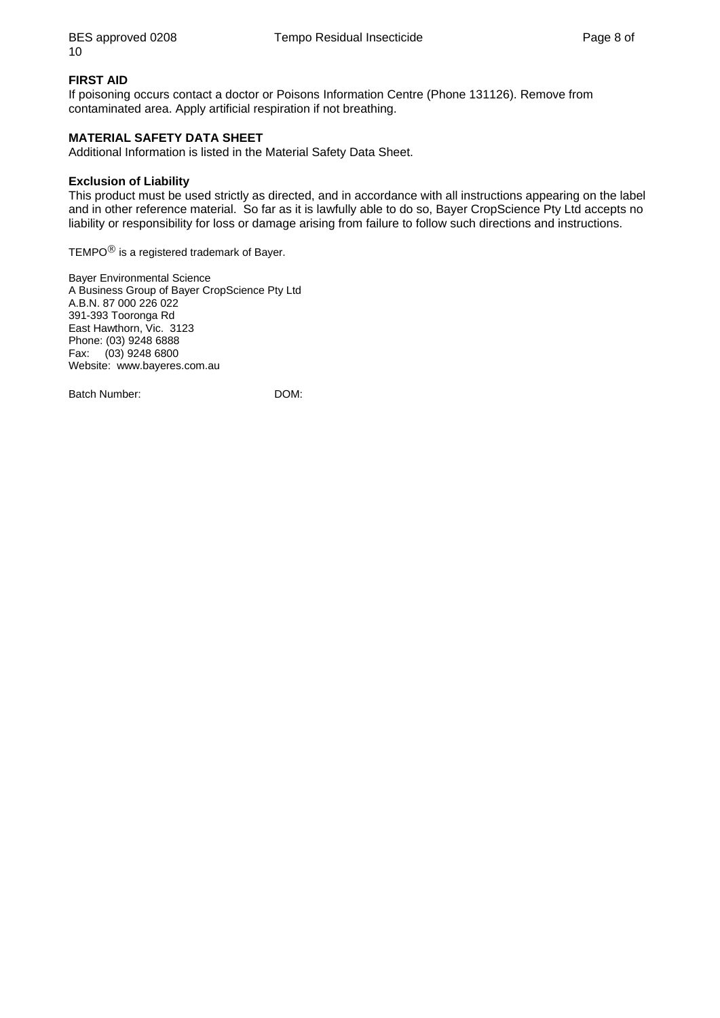#### **FIRST AID**

If poisoning occurs contact a doctor or Poisons Information Centre (Phone 131126). Remove from contaminated area. Apply artificial respiration if not breathing.

#### **MATERIAL SAFETY DATA SHEET**

Additional Information is listed in the Material Safety Data Sheet.

#### **Exclusion of Liability**

This product must be used strictly as directed, and in accordance with all instructions appearing on the label and in other reference material. So far as it is lawfully able to do so, Bayer CropScience Pty Ltd accepts no liability or responsibility for loss or damage arising from failure to follow such directions and instructions.

TEMPO<sup>®</sup> is a registered trademark of Bayer.

Bayer Environmental Science A Business Group of Bayer CropScience Pty Ltd A.B.N. 87 000 226 022 391-393 Tooronga Rd East Hawthorn, Vic. 3123 Phone: (03) 9248 6888 Fax: (03) 9248 6800 Website: www.bayeres.com.au

Batch Number: DOM: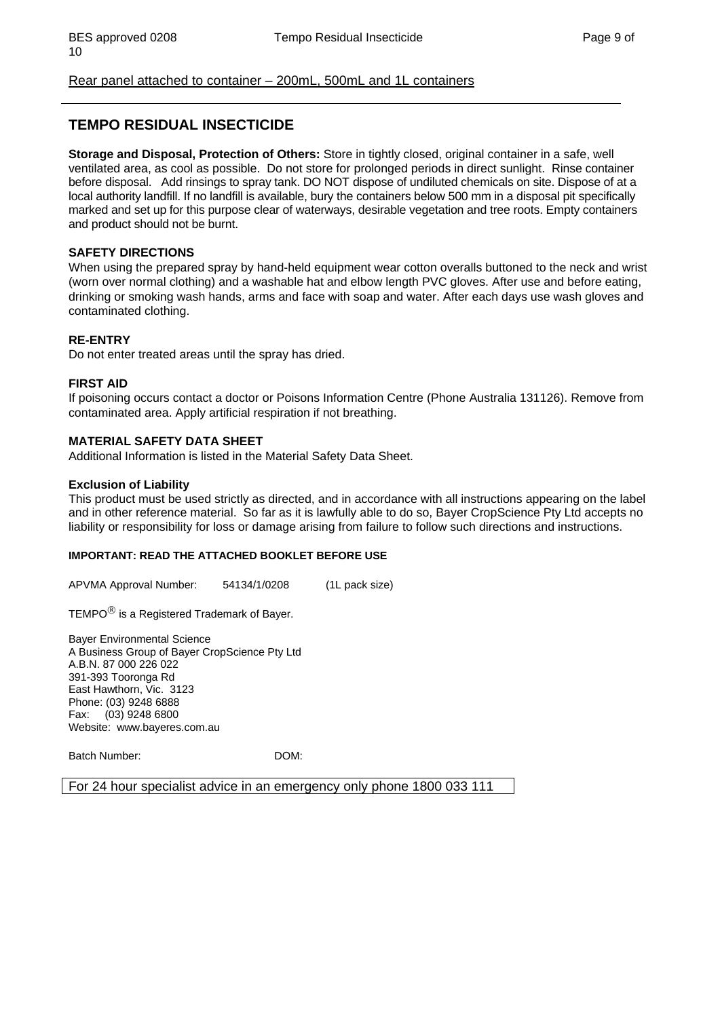#### Rear panel attached to container – 200mL, 500mL and 1L containers

### **TEMPO RESIDUAL INSECTICIDE**

**Storage and Disposal, Protection of Others:** Store in tightly closed, original container in a safe, well ventilated area, as cool as possible. Do not store for prolonged periods in direct sunlight. Rinse container before disposal. Add rinsings to spray tank. DO NOT dispose of undiluted chemicals on site. Dispose of at a local authority landfill. If no landfill is available, bury the containers below 500 mm in a disposal pit specifically marked and set up for this purpose clear of waterways, desirable vegetation and tree roots. Empty containers and product should not be burnt.

#### **SAFETY DIRECTIONS**

When using the prepared spray by hand-held equipment wear cotton overalls buttoned to the neck and wrist (worn over normal clothing) and a washable hat and elbow length PVC gloves. After use and before eating, drinking or smoking wash hands, arms and face with soap and water. After each days use wash gloves and contaminated clothing.

#### **RE-ENTRY**

Do not enter treated areas until the spray has dried.

#### **FIRST AID**

If poisoning occurs contact a doctor or Poisons Information Centre (Phone Australia 131126). Remove from contaminated area. Apply artificial respiration if not breathing.

#### **MATERIAL SAFETY DATA SHEET**

Additional Information is listed in the Material Safety Data Sheet.

#### **Exclusion of Liability**

This product must be used strictly as directed, and in accordance with all instructions appearing on the label and in other reference material. So far as it is lawfully able to do so, Bayer CropScience Pty Ltd accepts no liability or responsibility for loss or damage arising from failure to follow such directions and instructions.

#### **IMPORTANT: READ THE ATTACHED BOOKLET BEFORE USE**

APVMA Approval Number: 54134/1/0208 (1L pack size)

TEMPO® is a Registered Trademark of Bayer.

Bayer Environmental Science A Business Group of Bayer CropScience Pty Ltd A.B.N. 87 000 226 022 391-393 Tooronga Rd East Hawthorn, Vic. 3123 Phone: (03) 9248 6888 Fax: (03) 9248 6800 Website: www.bayeres.com.au

Batch Number: DOM:

For 24 hour specialist advice in an emergency only phone 1800 033 111